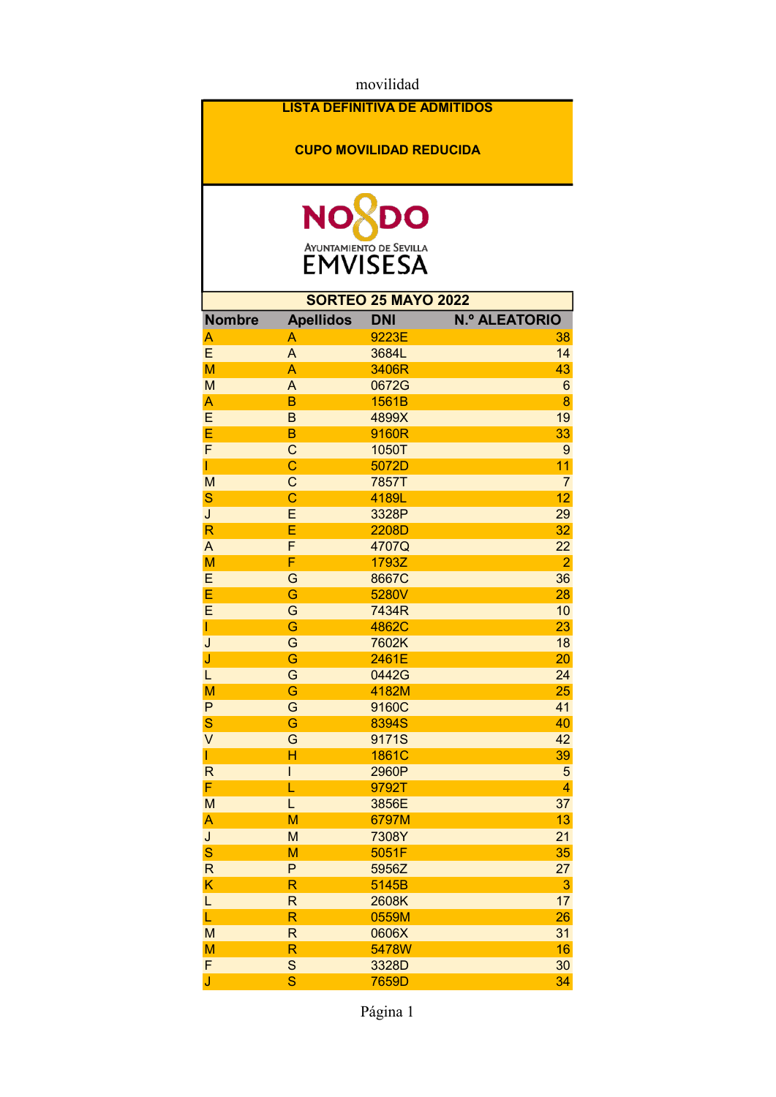movilidad

## LISTA DEFINITIVA DE ADMITIDOS

## CUPO MOVILIDAD REDUCIDA



| <b>SORTEO 25 MAYO 2022</b> |                         |            |                      |  |  |
|----------------------------|-------------------------|------------|----------------------|--|--|
| <b>Nombre</b>              | <b>Apellidos</b>        | <b>DNI</b> | <b>N.º ALEATORIO</b> |  |  |
| A                          | Α                       | 9223E      | 38                   |  |  |
| E                          | $\overline{A}$          | 3684L      | 14                   |  |  |
| M                          | A                       | 3406R      | 43                   |  |  |
| M                          | A                       | 0672G      | $6\phantom{1}6$      |  |  |
| A                          | B                       | 1561B      | 8                    |  |  |
| E                          | $\mathsf B$             | 4899X      | 19                   |  |  |
| E                          | B                       | 9160R      | 33                   |  |  |
| F                          | $\mathsf{C}$            | 1050T      | 9                    |  |  |
| T                          | Ċ                       | 5072D      | 11                   |  |  |
| M                          | $\mathsf{C}$            | 7857T      | $\overline{7}$       |  |  |
| S                          | Ċ                       | 4189L      | 12                   |  |  |
| $\overline{\mathsf{J}}$    | E                       | 3328P      | 29                   |  |  |
| $\overline{\mathsf{R}}$    | Ē                       | 2208D      | 32                   |  |  |
| A                          | F                       | 4707Q      | 22                   |  |  |
| M                          | F                       | 1793Z      | $\overline{2}$       |  |  |
| E                          | G                       | 8667C      | 36                   |  |  |
| E                          | Ġ                       | 5280V      | 28                   |  |  |
| $\overline{E}$             | G                       | 7434R      | 10                   |  |  |
| T                          | Ġ                       | 4862C      | 23                   |  |  |
| J                          | G                       | 7602K      | 18                   |  |  |
| J                          | Ġ                       | 2461E      | 20                   |  |  |
| L                          | G                       | 0442G      | 24                   |  |  |
| M                          | Ġ                       | 4182M      | 25                   |  |  |
| P                          | G                       | 9160C      | 41                   |  |  |
| S                          | Ġ                       | 8394S      | 40                   |  |  |
| V                          | G                       | 9171S      | 42                   |  |  |
| T                          | H                       | 1861C      | 39                   |  |  |
| $\mathsf{R}$               | I                       | 2960P      | 5                    |  |  |
| F                          | L                       | 9792T      | 4                    |  |  |
| M                          | L                       | 3856E      | 37                   |  |  |
| A                          | M                       | 6797M      | 13                   |  |  |
| J                          | M                       | 7308Y      | 21                   |  |  |
| S                          | M                       | 5051F      | 35                   |  |  |
| $\overline{\mathsf{R}}$    | P                       | 5956Z      | 27                   |  |  |
| K                          | R                       | 5145B      | 3                    |  |  |
| L                          | R                       | 2608K      | 17                   |  |  |
| L                          | R                       | 0559M      | 26                   |  |  |
| M                          | $\overline{\mathsf{R}}$ | 0606X      | 31                   |  |  |
| M                          | R                       | 5478W      | 16                   |  |  |
| F                          | S                       |            | 30                   |  |  |
|                            | S                       | 3328D      |                      |  |  |
| J                          |                         | 7659D      | 34                   |  |  |

Página 1